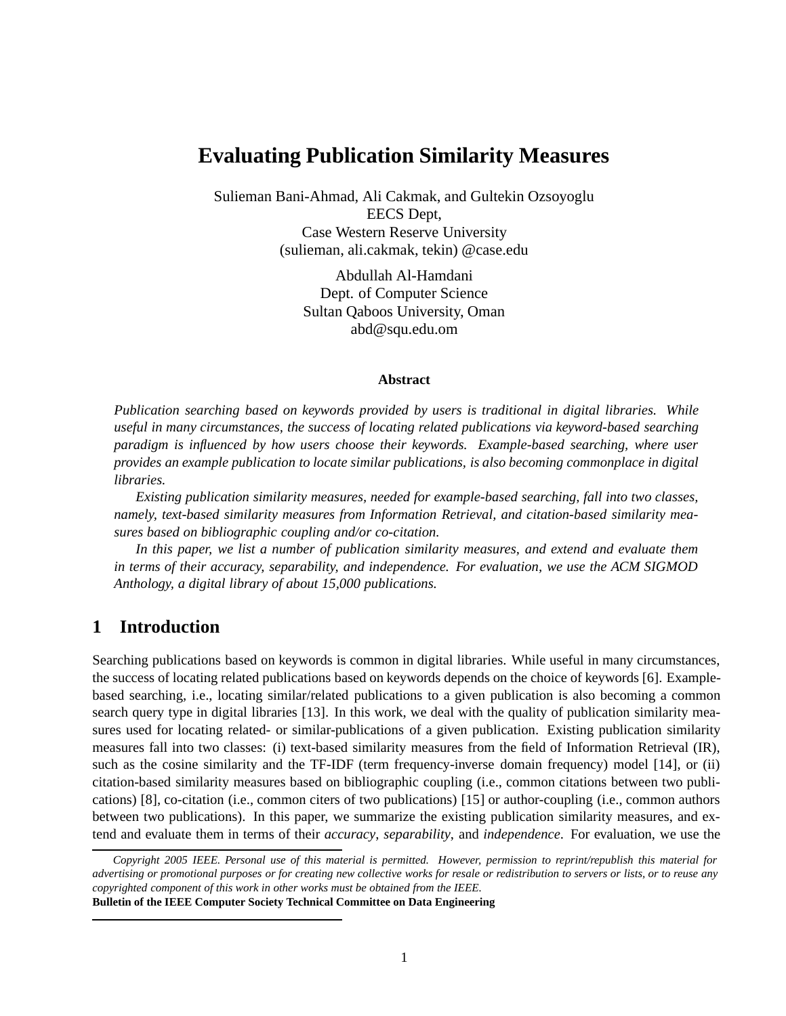# **Evaluating Publication Similarity Measures**

Sulieman Bani-Ahmad, Ali Cakmak, and Gultekin Ozsoyoglu EECS Dept, Case Western Reserve University (sulieman, ali.cakmak, tekin) @case.edu

> Abdullah Al-Hamdani Dept. of Computer Science Sultan Qaboos University, Oman abd@squ.edu.om

#### **Abstract**

*Publication searching based on keywords provided by users is traditional in digital libraries. While useful in many circumstances, the success of locating related publications via keyword-based searching paradigm is influenced by how users choose their keywords. Example-based searching, where user provides an example publication to locate similar publications, is also becoming commonplace in digital libraries.*

*Existing publication similarity measures, needed for example-based searching, fall into two classes, namely, text-based similarity measures from Information Retrieval, and citation-based similarity measures based on bibliographic coupling and/or co-citation.*

*In this paper, we list a number of publication similarity measures, and extend and evaluate them in terms of their accuracy, separability, and independence. For evaluation, we use the ACM SIGMOD Anthology, a digital library of about 15,000 publications.*

## **1 Introduction**

Searching publications based on keywords is common in digital libraries. While useful in many circumstances, the success of locating related publications based on keywords depends on the choice of keywords [6]. Examplebased searching, i.e., locating similar/related publications to a given publication is also becoming a common search query type in digital libraries [13]. In this work, we deal with the quality of publication similarity measures used for locating related- or similar-publications of a given publication. Existing publication similarity measures fall into two classes: (i) text-based similarity measures from the field of Information Retrieval (IR), such as the cosine similarity and the TF-IDF (term frequency-inverse domain frequency) model [14], or (ii) citation-based similarity measures based on bibliographic coupling (i.e., common citations between two publications) [8], co-citation (i.e., common citers of two publications) [15] or author-coupling (i.e., common authors between two publications). In this paper, we summarize the existing publication similarity measures, and extend and evaluate them in terms of their *accuracy*, *separability*, and *independence*. For evaluation, we use the

*Copyright 2005 IEEE. Personal use of this material is permitted. However, permission to reprint/republish this material for advertising or promotional purposes or for creating new collective works for resale or redistribution to servers or lists, or to reuse any copyrighted component of this work in other works must be obtained from the IEEE.*

**Bulletin of the IEEE Computer Society Technical Committee on Data Engineering**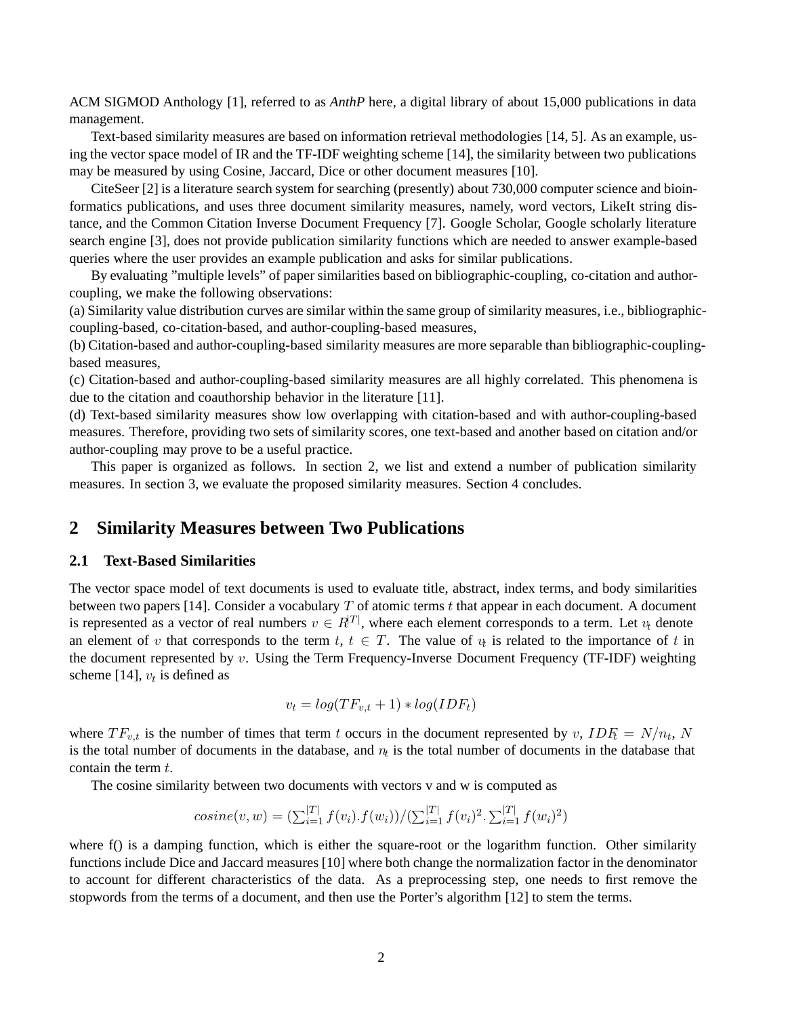ACM SIGMOD Anthology [1], referred to as *AnthP* here, a digital library of about 15,000 publications in data management.

Text-based similarity measures are based on information retrieval methodologies [14, 5]. As an example, using the vector space model of IR and the TF-IDF weighting scheme [14], the similarity between two publications may be measured by using Cosine, Jaccard, Dice or other document measures [10].

CiteSeer [2] is a literature search system for searching (presently) about 730,000 computer science and bioinformatics publications, and uses three document similarity measures, namely, word vectors, LikeIt string distance, and the Common Citation Inverse Document Frequency [7]. Google Scholar, Google scholarly literature search engine [3], does not provide publication similarity functions which are needed to answer example-based queries where the user provides an example publication and asks for similar publications.

By evaluating "multiple levels" of paper similarities based on bibliographic-coupling, co-citation and authorcoupling, we make the following observations:

(a) Similarity value distribution curves are similar within the same group of similarity measures, i.e., bibliographiccoupling-based, co-citation-based, and author-coupling-based measures,

(b) Citation-based and author-coupling-based similarity measures are more separable than bibliographic-couplingbased measures,

(c) Citation-based and author-coupling-based similarity measures are all highly correlated. This phenomena is due to the citation and coauthorship behavior in the literature [11].

(d) Text-based similarity measures show low overlapping with citation-based and with author-coupling-based measures. Therefore, providing two sets of similarity scores, one text-based and another based on citation and/or author-coupling may prove to be a useful practice.

This paper is organized as follows. In section 2, we list and extend a number of publication similarity measures. In section 3, we evaluate the proposed similarity measures. Section 4 concludes.

### **2 Similarity Measures between Two Publications**

#### **2.1 Text-Based Similarities**

The vector space model of text documents is used to evaluate title, abstract, index terms, and body similarities between two papers [14]. Consider a vocabulary *T* of atomic terms *t* that appear in each document. A document is represented as a vector of real numbers  $v \in R^{|T|}$ , where each element corresponds to a term. Let  $v_t$  denote an element of *v* that corresponds to the term *t*,  $t \in T$ . The value of  $v_t$  is related to the importance of *t* in the document represented by *v*. Using the Term Frequency-Inverse Document Frequency (TF-IDF) weighting scheme [14],  $v_t$  is defined as

$$
v_t = log(TF_{v,t} + 1) * log(IDF_t)
$$

where  $TF_{v,t}$  is the number of times that term *t* occurs in the document represented by *v*,  $IDF_t = N/n_t$ , *N* is the total number of documents in the database, and *n<sup>t</sup>* is the total number of documents in the database that contain the term *t*.

The cosine similarity between two documents with vectors v and w is computed as

$$
cosine(v, w) = \left(\sum_{i=1}^{|T|} f(v_i) . f(w_i)\right) / \left(\sum_{i=1}^{|T|} f(v_i)^2 . \sum_{i=1}^{|T|} f(w_i)^2\right)
$$

where f() is a damping function, which is either the square-root or the logarithm function. Other similarity functions include Dice and Jaccard measures [10] where both change the normalization factor in the denominator to account for different characteristics of the data. As a preprocessing step, one needs to first remove the stopwords from the terms of a document, and then use the Porter's algorithm [12] to stem the terms.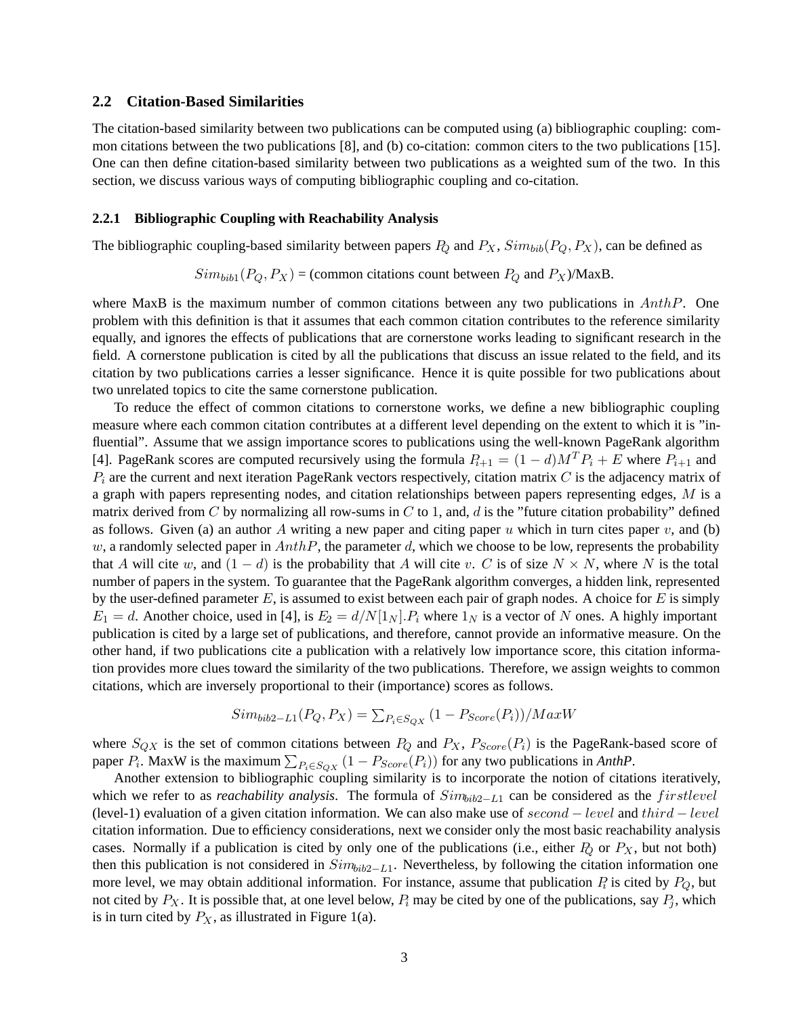#### **2.2 Citation-Based Similarities**

The citation-based similarity between two publications can be computed using (a) bibliographic coupling: common citations between the two publications [8], and (b) co-citation: common citers to the two publications [15]. One can then define citation-based similarity between two publications as a weighted sum of the two. In this section, we discuss various ways of computing bibliographic coupling and co-citation.

#### **2.2.1 Bibliographic Coupling with Reachability Analysis**

The bibliographic coupling-based similarity between papers  $P_Q$  and  $P_X$ ,  $Sim_{bib}(P_Q, P_X)$ , can be defined as

 $Sim_{bib1}(P_Q, P_X) = (common citations count between P_Q and P_X)/\text{MaxB}.$ 

where MaxB is the maximum number of common citations between any two publications in *AnthP*. One problem with this definition is that it assumes that each common citation contributes to the reference similarity equally, and ignores the effects of publications that are cornerstone works leading to significant research in the field. A cornerstone publication is cited by all the publications that discuss an issue related to the field, and its citation by two publications carries a lesser significance. Hence it is quite possible for two publications about two unrelated topics to cite the same cornerstone publication.

To reduce the effect of common citations to cornerstone works, we define a new bibliographic coupling measure where each common citation contributes at a different level depending on the extent to which it is "influential". Assume that we assign importance scores to publications using the well-known PageRank algorithm [4]. PageRank scores are computed recursively using the formula  $P_{i+1} = (1 - d)M^T P_i + E$  where  $P_{i+1}$  and *P<sup>i</sup>* are the current and next iteration PageRank vectors respectively, citation matrix *C* is the adjacency matrix of a graph with papers representing nodes, and citation relationships between papers representing edges, *M* is a matrix derived from *C* by normalizing all row-sums in *C* to 1, and, *d* is the "future citation probability" defined as follows. Given (a) an author A writing a new paper and citing paper  $u$  which in turn cites paper  $v$ , and (b) *w*, a randomly selected paper in *AnthP*, the parameter *d*, which we choose to be low, represents the probability that *A* will cite *w*, and  $(1 - d)$  is the probability that *A* will cite *v*. *C* is of size  $N \times N$ , where *N* is the total number of papers in the system. To guarantee that the PageRank algorithm converges, a hidden link, represented by the user-defined parameter *E*, is assumed to exist between each pair of graph nodes. A choice for *E* is simply  $E_1 = d$ . Another choice, used in [4], is  $E_2 = d/N[1_N]$ .  $P_i$  where  $1_N$  is a vector of *N* ones. A highly important publication is cited by a large set of publications, and therefore, cannot provide an informative measure. On the other hand, if two publications cite a publication with a relatively low importance score, this citation information provides more clues toward the similarity of the two publications. Therefore, we assign weights to common citations, which are inversely proportional to their (importance) scores as follows.

$$
Sim_{bib2-L1}(P_Q, P_X) = \sum_{P_i \in S_{QX}} (1 - P_{Score}(P_i)) / MaxW
$$

where  $S_{QX}$  is the set of common citations between  $P_Q$  and  $P_X$ ,  $P_{Score}(P_i)$  is the PageRank-based score of paper  $P_i$ . MaxW is the maximum  $\sum_{P_i \in S_{QX}} (1 - P_{Score}(P_i))$  for any two publications in *AnthP*.

Another extension to bibliographic coupling similarity is to incorporate the notion of citations iteratively, which we refer to as *reachability analysis*. The formula of *Simbib*2−*L*<sup>1</sup> can be considered as the *f irstlevel* (level-1) evaluation of a given citation information. We can also make use of *second* − *level* and *third* − *level* citation information. Due to efficiency considerations, next we consider only the most basic reachability analysis cases. Normally if a publication is cited by only one of the publications (i.e., either  $P_Q$  or  $P_X$ , but not both) then this publication is not considered in *Simbib*2−*L*1. Nevertheless, by following the citation information one more level, we may obtain additional information. For instance, assume that publication *P<sup>i</sup>* is cited by *PQ*, but not cited by  $P_X$ . It is possible that, at one level below,  $P_i$  may be cited by one of the publications, say  $P_i$ , which is in turn cited by  $P_X$ , as illustrated in Figure 1(a).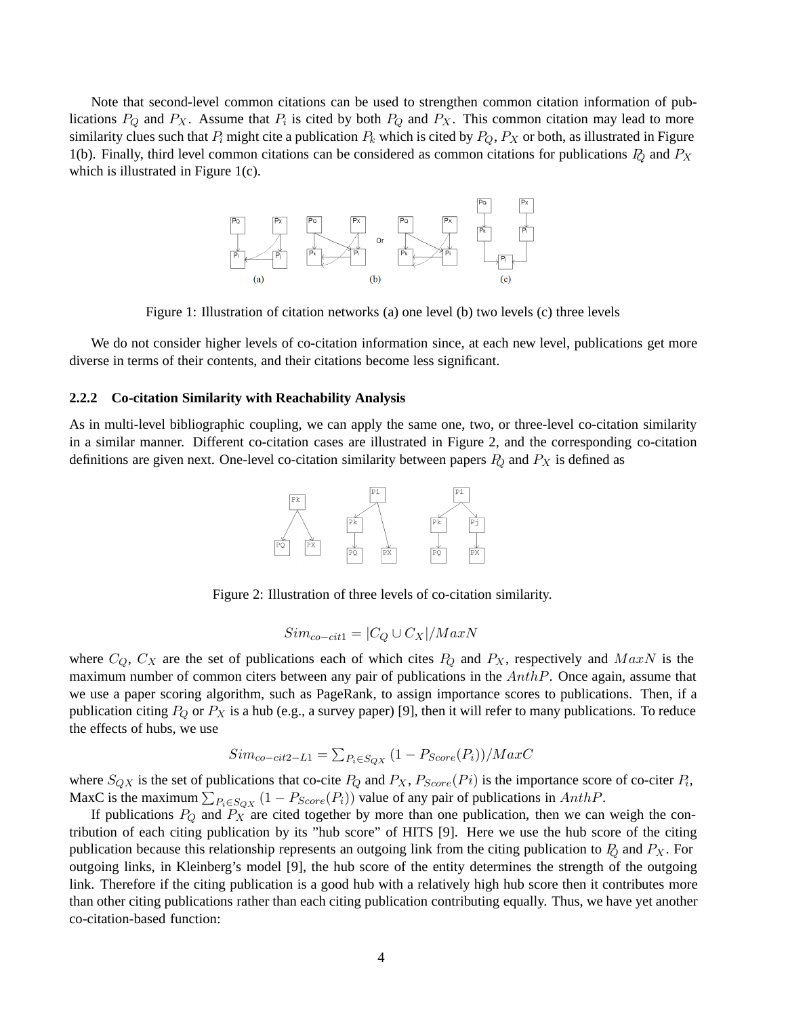Note that second-level common citations can be used to strengthen common citation information of publications  $P_Q$  and  $P_X$ . Assume that  $P_i$  is cited by both  $P_Q$  and  $P_X$ . This common citation may lead to more similarity clues such that  $P_i$  might cite a publication  $P_k$  which is cited by  $P_Q$ ,  $P_X$  or both, as illustrated in Figure 1(b). Finally, third level common citations can be considered as common citations for publications *P<sup>Q</sup>* and *P<sup>X</sup>* which is illustrated in Figure 1(c).



Figure 1: Illustration of citation networks (a) one level (b) two levels (c) three levels

We do not consider higher levels of co-citation information since, at each new level, publications get more diverse in terms of their contents, and their citations become less significant.

#### **2.2.2 Co-citation Similarity with Reachability Analysis**

As in multi-level bibliographic coupling, we can apply the same one, two, or three-level co-citation similarity in a similar manner. Different co-citation cases are illustrated in Figure 2, and the corresponding co-citation definitions are given next. One-level co-citation similarity between papers *P<sup>Q</sup>* and *P<sup>X</sup>* is defined as



Figure 2: Illustration of three levels of co-citation similarity.

$$
Sim_{co-cit1} = |C_Q \cup C_X| / MaxN
$$

where  $C_Q$ ,  $C_X$  are the set of publications each of which cites  $P_Q$  and  $P_X$ , respectively and  $MaxN$  is the maximum number of common citers between any pair of publications in the *AnthP*. Once again, assume that we use a paper scoring algorithm, such as PageRank, to assign importance scores to publications. Then, if a publication citing *P<sup>Q</sup>* or *P<sup>X</sup>* is a hub (e.g., a survey paper) [9], then it will refer to many publications. To reduce the effects of hubs, we use

$$
Sim_{co-cit2-L1} = \sum_{P_i \in S_{QX}} (1 - P_{Score}(P_i)) / MaxC
$$

where  $S_{QX}$  is the set of publications that co-cite  $P_Q$  and  $P_X$ ,  $P_{Score}(Pi)$  is the importance score of co-citer  $P_i$ , MaxC is the maximum  $\sum_{P_i \in SQX} (1 - P_{Score}(P_i))$  value of any pair of publications in *AnthP*.

If publications *P<sup>Q</sup>* and *P<sup>X</sup>* are cited together by more than one publication, then we can weigh the contribution of each citing publication by its "hub score" of HITS [9]. Here we use the hub score of the citing publication because this relationship represents an outgoing link from the citing publication to *P<sup>Q</sup>* and *P<sup>X</sup>* . For outgoing links, in Kleinberg's model [9], the hub score of the entity determines the strength of the outgoing link. Therefore if the citing publication is a good hub with a relatively high hub score then it contributes more than other citing publications rather than each citing publication contributing equally. Thus, we have yet another co-citation-based function: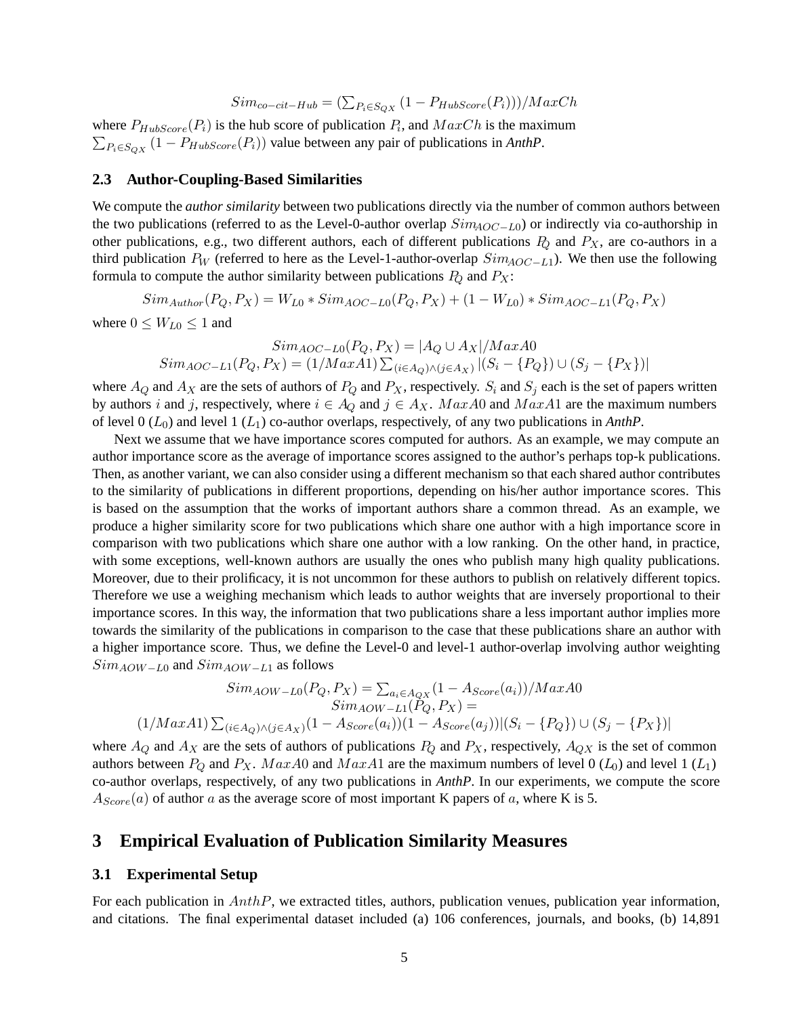$$
Sim_{co-cit-Hub} = (\sum_{P_i \in S_{QX}} (1 - P_{HubScore}(P_i)))/MaxCh
$$

where  $P_{HubScore}(P_i)$  is the hub score of publication  $P_i$ , and  $MaxCh$  is the maximum  $\sum_{P_i \in S_{QX}} (1 - P_{HubScore}(P_i))$  value between any pair of publications in *AnthP*.

#### **2.3 Author-Coupling-Based Similarities**

We compute the *author similarity* between two publications directly via the number of common authors between the two publications (referred to as the Level-0-author overlap *SimAOC*−*L*0) or indirectly via co-authorship in other publications, e.g., two different authors, each of different publications *P<sup>Q</sup>* and *PX*, are co-authors in a third publication *P<sup>W</sup>* (referred to here as the Level-1-author-overlap *SimAOC*−*L*1). We then use the following formula to compute the author similarity between publications  $P_Q$  and  $P_X$ :

 $Sim_{Author}(P_Q, P_X) = W_{L0} * Sim_{AOC - L0}(P_Q, P_X) + (1 - W_{L0}) * Sim_{AOC - L1}(P_Q, P_X)$ where  $0 \leq W_{L0} \leq 1$  and

 $Sim_{AOC - L0}(P_Q, P_X) = |A_Q ∪ A_X| / MaxA0$  $Sim_{AOC-L1}(P_Q, P_X) = (1/Max A1) \sum_{(i \in A_Q) \land (j \in A_X)} |(S_i - \{P_Q\}) \cup (S_j - \{P_X\})|$ 

where  $A_Q$  and  $A_X$  are the sets of authors of  $P_Q$  and  $P_X$ , respectively.  $S_i$  and  $S_j$  each is the set of papers written by authors *i* and *j*, respectively, where  $i \in A_Q$  and  $j \in A_X$ . *MaxA*0 and *MaxA*1 are the maximum numbers of level 0 (*L*0) and level 1 (*L*1) co-author overlaps, respectively, of any two publications in *AnthP*.

Next we assume that we have importance scores computed for authors. As an example, we may compute an author importance score as the average of importance scores assigned to the author's perhaps top-k publications. Then, as another variant, we can also consider using a different mechanism so that each shared author contributes to the similarity of publications in different proportions, depending on his/her author importance scores. This is based on the assumption that the works of important authors share a common thread. As an example, we produce a higher similarity score for two publications which share one author with a high importance score in comparison with two publications which share one author with a low ranking. On the other hand, in practice, with some exceptions, well-known authors are usually the ones who publish many high quality publications. Moreover, due to their prolificacy, it is not uncommon for these authors to publish on relatively different topics. Therefore we use a weighing mechanism which leads to author weights that are inversely proportional to their importance scores. In this way, the information that two publications share a less important author implies more towards the similarity of the publications in comparison to the case that these publications share an author with a higher importance score. Thus, we define the Level-0 and level-1 author-overlap involving author weighting *SimAOW*−*L*<sup>0</sup> and *SimAOW*−*L*<sup>1</sup> as follows

$$
Sim_{AOW - L0}(P_Q, P_X) = \sum_{a_i \in A_{QX}} (1 - A_{Score}(a_i)) / MaxA0
$$

$$
Sim_{AOW - L1}(P_Q, P_X) =
$$

$$
(1 / MaxA1) \sum_{(i \in A_Q) \land (j \in A_X)} (1 - A_{Score}(a_i)) (1 - A_{Score}(a_j)) | (S_i - {P_Q}) \cup (S_j - {P_X})|
$$

where  $A_Q$  and  $A_X$  are the sets of authors of publications  $P_Q$  and  $P_X$ , respectively,  $A_{QX}$  is the set of common authors between  $P_Q$  and  $P_X$ .  $MaxA0$  and  $MaxA1$  are the maximum numbers of level 0 ( $L_0$ ) and level 1 ( $L_1$ ) co-author overlaps, respectively, of any two publications in *AnthP*. In our experiments, we compute the score  $A_{Score}(a)$  of author *a* as the average score of most important K papers of *a*, where K is 5.

### **3 Empirical Evaluation of Publication Similarity Measures**

### **3.1 Experimental Setup**

For each publication in *AnthP*, we extracted titles, authors, publication venues, publication year information, and citations. The final experimental dataset included (a) 106 conferences, journals, and books, (b) 14,891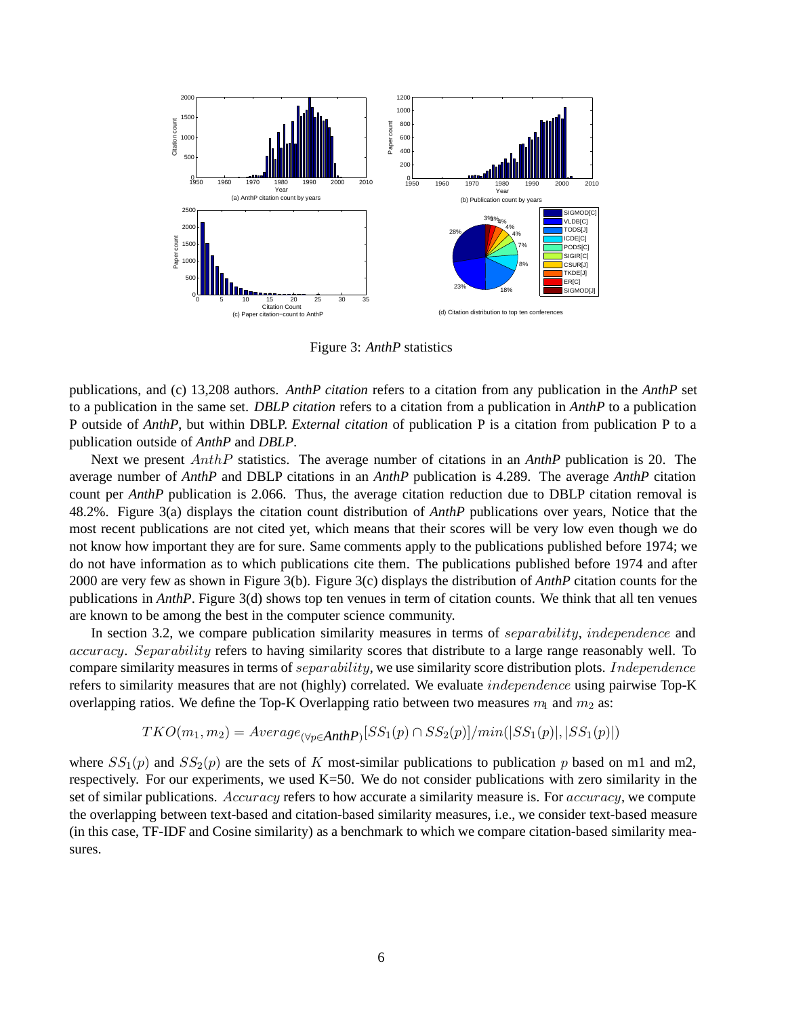

Figure 3: *AnthP* statistics

publications, and (c) 13,208 authors. *AnthP citation* refers to a citation from any publication in the *AnthP* set to a publication in the same set. *DBLP citation* refers to a citation from a publication in *AnthP* to a publication P outside of *AnthP*, but within DBLP. *External citation* of publication P is a citation from publication P to a publication outside of *AnthP* and *DBLP*.

Next we present *AnthP* statistics. The average number of citations in an *AnthP* publication is 20. The average number of *AnthP* and DBLP citations in an *AnthP* publication is 4.289. The average *AnthP* citation count per *AnthP* publication is 2.066. Thus, the average citation reduction due to DBLP citation removal is 48.2%. Figure 3(a) displays the citation count distribution of *AnthP* publications over years, Notice that the most recent publications are not cited yet, which means that their scores will be very low even though we do not know how important they are for sure. Same comments apply to the publications published before 1974; we do not have information as to which publications cite them. The publications published before 1974 and after 2000 are very few as shown in Figure 3(b). Figure 3(c) displays the distribution of *AnthP* citation counts for the publications in *AnthP*. Figure 3(d) shows top ten venues in term of citation counts. We think that all ten venues are known to be among the best in the computer science community.

In section 3.2, we compare publication similarity measures in terms of *separability*, *independence* and *accuracy*. *Separability* refers to having similarity scores that distribute to a large range reasonably well. To compare similarity measures in terms of *separability*, we use similarity score distribution plots. *Independence* refers to similarity measures that are not (highly) correlated. We evaluate *independence* using pairwise Top-K overlapping ratios. We define the Top-K Overlapping ratio between two measures  $m_1$  and  $m_2$  as:

$$
TKO(m_1, m_2) = Average_{(\forall p \in \text{AnthP})}[SS_1(p) \cap SS_2(p)]/min(|SS_1(p)|, |SS_1(p)|)
$$

where  $SS_1(p)$  and  $SS_2(p)$  are the sets of *K* most-similar publications to publication *p* based on m1 and m2, respectively. For our experiments, we used  $K=50$ . We do not consider publications with zero similarity in the set of similar publications. *Accuracy* refers to how accurate a similarity measure is. For *accuracy*, we compute the overlapping between text-based and citation-based similarity measures, i.e., we consider text-based measure (in this case, TF-IDF and Cosine similarity) as a benchmark to which we compare citation-based similarity measures.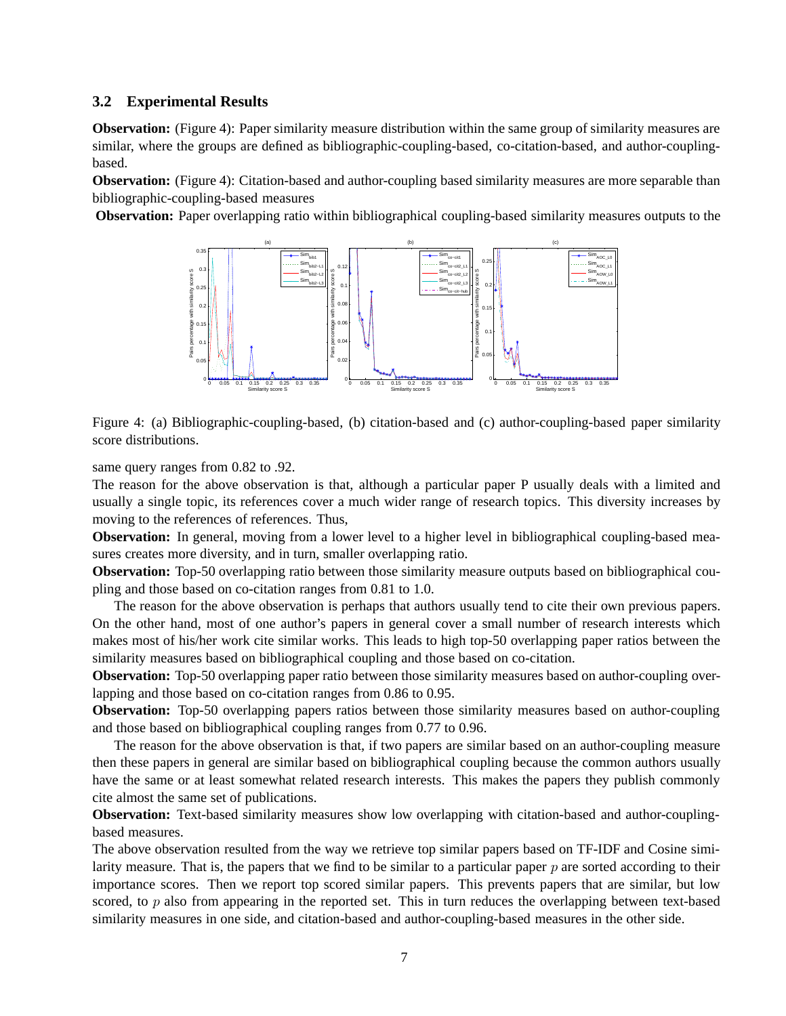### **3.2 Experimental Results**

**Observation:** (Figure 4): Paper similarity measure distribution within the same group of similarity measures are similar, where the groups are defined as bibliographic-coupling-based, co-citation-based, and author-couplingbased.

**Observation:** (Figure 4): Citation-based and author-coupling based similarity measures are more separable than bibliographic-coupling-based measures

**Observation:** Paper overlapping ratio within bibliographical coupling-based similarity measures outputs to the



Figure 4: (a) Bibliographic-coupling-based, (b) citation-based and (c) author-coupling-based paper similarity score distributions.

same query ranges from 0.82 to .92.

The reason for the above observation is that, although a particular paper P usually deals with a limited and usually a single topic, its references cover a much wider range of research topics. This diversity increases by moving to the references of references. Thus,

**Observation:** In general, moving from a lower level to a higher level in bibliographical coupling-based measures creates more diversity, and in turn, smaller overlapping ratio.

**Observation:** Top-50 overlapping ratio between those similarity measure outputs based on bibliographical coupling and those based on co-citation ranges from 0.81 to 1.0.

The reason for the above observation is perhaps that authors usually tend to cite their own previous papers. On the other hand, most of one author's papers in general cover a small number of research interests which makes most of his/her work cite similar works. This leads to high top-50 overlapping paper ratios between the similarity measures based on bibliographical coupling and those based on co-citation.

**Observation:** Top-50 overlapping paper ratio between those similarity measures based on author-coupling overlapping and those based on co-citation ranges from 0.86 to 0.95.

**Observation:** Top-50 overlapping papers ratios between those similarity measures based on author-coupling and those based on bibliographical coupling ranges from 0.77 to 0.96.

The reason for the above observation is that, if two papers are similar based on an author-coupling measure then these papers in general are similar based on bibliographical coupling because the common authors usually have the same or at least somewhat related research interests. This makes the papers they publish commonly cite almost the same set of publications.

**Observation:** Text-based similarity measures show low overlapping with citation-based and author-couplingbased measures.

The above observation resulted from the way we retrieve top similar papers based on TF-IDF and Cosine similarity measure. That is, the papers that we find to be similar to a particular paper *p* are sorted according to their importance scores. Then we report top scored similar papers. This prevents papers that are similar, but low scored, to *p* also from appearing in the reported set. This in turn reduces the overlapping between text-based similarity measures in one side, and citation-based and author-coupling-based measures in the other side.